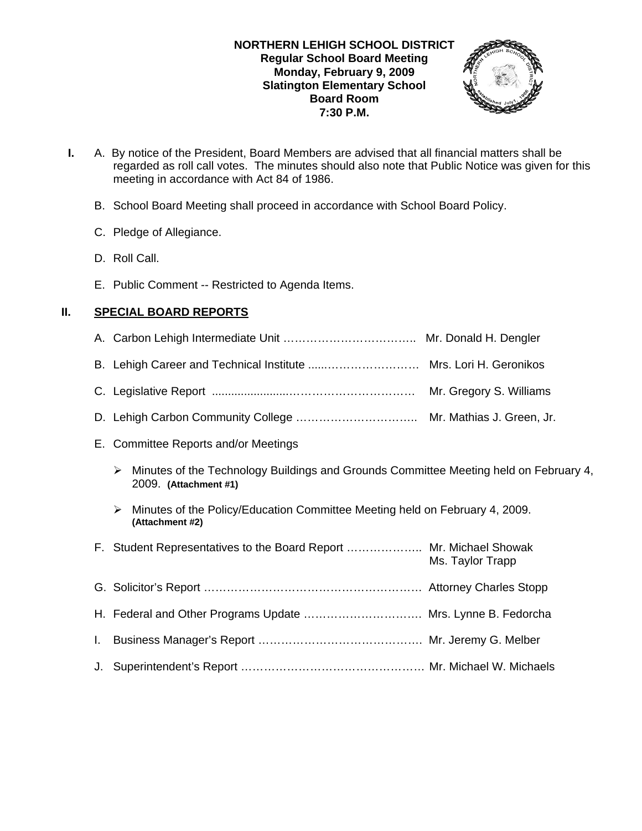# **NORTHERN LEHIGH SCHOOL DISTRICT Regular School Board Meeting Monday, February 9, 2009 Slatington Elementary School Board Room 7:30 P.M.**



- **I.** A. By notice of the President, Board Members are advised that all financial matters shall be regarded as roll call votes. The minutes should also note that Public Notice was given for this meeting in accordance with Act 84 of 1986.
	- B. School Board Meeting shall proceed in accordance with School Board Policy.
	- C. Pledge of Allegiance.
	- D. Roll Call.
	- E. Public Comment -- Restricted to Agenda Items.

# **II. SPECIAL BOARD REPORTS**

A. Carbon Lehigh Intermediate Unit …………………………….. Mr. Donald H. Dengler B. Lehigh Career and Technical Institute ......…………………… Mrs. Lori H. Geronikos C. Legislative Report ........................…………………………… Mr. Gregory S. Williams D. Lehigh Carbon Community College ………………………….. Mr. Mathias J. Green, Jr. E. Committee Reports and/or Meetings  $\triangleright$  Minutes of the Technology Buildings and Grounds Committee Meeting held on February 4, 2009. **(Attachment #1)**  $\triangleright$  Minutes of the Policy/Education Committee Meeting held on February 4, 2009. **(Attachment #2)** F. Student Representatives to the Board Report ……………….. Mr. Michael Showak Ms. Taylor Trapp G. Solicitor's Report ………………………………………………… Attorney Charles Stopp H. Federal and Other Programs Update …………………………. Mrs. Lynne B. Fedorcha I. Business Manager's Report ……………………………………. Mr. Jeremy G. Melber J. Superintendent's Report ………………………………………… Mr. Michael W. Michaels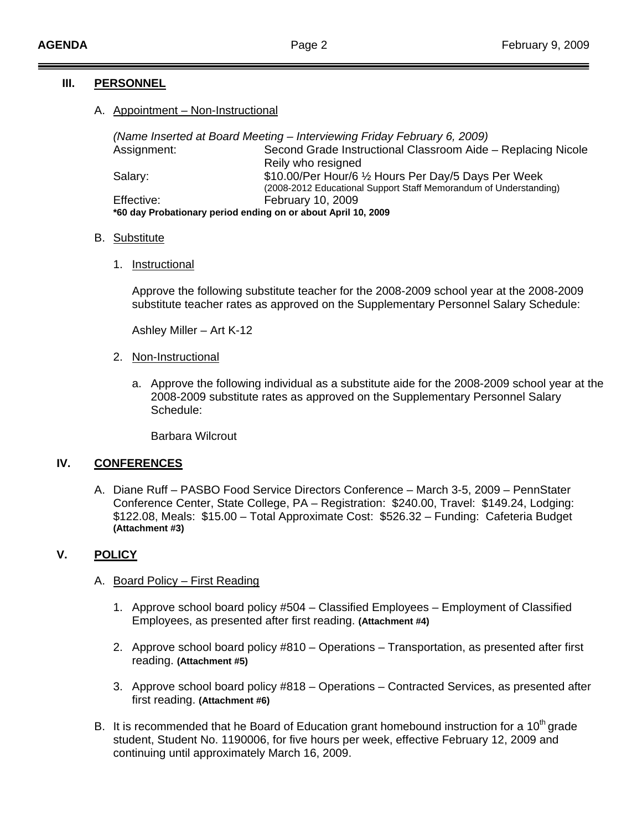# **III. PERSONNEL**

# A. Appointment – Non-Instructional

*(Name Inserted at Board Meeting – Interviewing Friday February 6, 2009)*  Assignment: Second Grade Instructional Classroom Aide – Replacing Nicole Reily who resigned Salary: \$10.00/Per Hour/6 ½ Hours Per Day/5 Days Per Week<br>(2008-2012 Educational Support Staff Memorandum of Understanding) Effective: February 10, 2009 **\*60 day Probationary period ending on or about April 10, 2009** 

#### B. Substitute

1. Instructional

Approve the following substitute teacher for the 2008-2009 school year at the 2008-2009 substitute teacher rates as approved on the Supplementary Personnel Salary Schedule:

Ashley Miller – Art K-12

- 2. Non-Instructional
	- a. Approve the following individual as a substitute aide for the 2008-2009 school year at the 2008-2009 substitute rates as approved on the Supplementary Personnel Salary Schedule:

Barbara Wilcrout

### **IV. CONFERENCES**

A. Diane Ruff – PASBO Food Service Directors Conference – March 3-5, 2009 – PennStater Conference Center, State College, PA – Registration: \$240.00, Travel: \$149.24, Lodging: \$122.08, Meals: \$15.00 – Total Approximate Cost: \$526.32 – Funding: Cafeteria Budget **(Attachment #3)**

## **V. POLICY**

### A. Board Policy – First Reading

- 1. Approve school board policy #504 Classified Employees Employment of Classified Employees, as presented after first reading. **(Attachment #4)**
- 2. Approve school board policy #810 Operations Transportation, as presented after first reading. **(Attachment #5)**
- 3. Approve school board policy #818 Operations Contracted Services, as presented after first reading. **(Attachment #6)**
- B. It is recommended that he Board of Education grant homebound instruction for a  $10<sup>th</sup>$  grade student, Student No. 1190006, for five hours per week, effective February 12, 2009 and continuing until approximately March 16, 2009.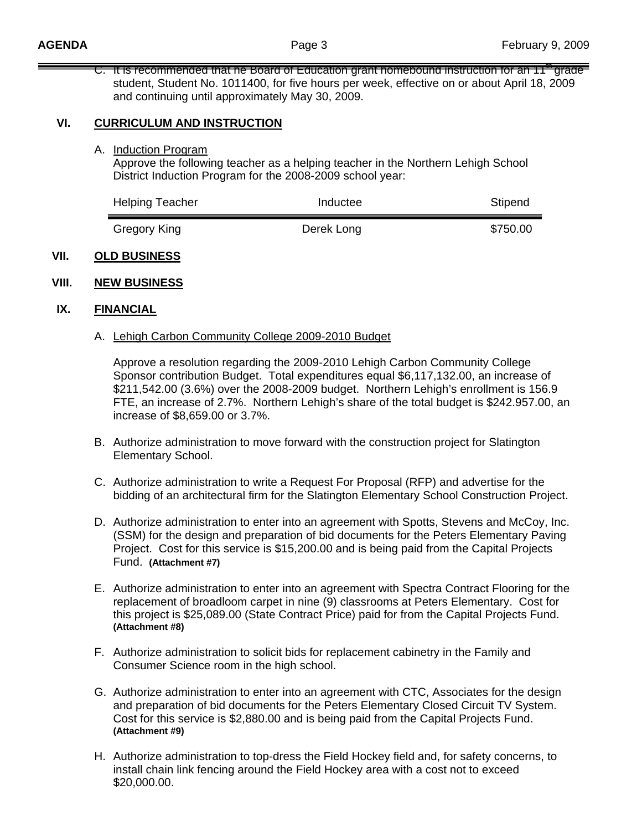C. It is recommended that he Board of Education grant homebound instruction for an 11<sup>th</sup> grade student, Student No. 1011400, for five hours per week, effective on or about April 18, 2009 and continuing until approximately May 30, 2009.

## **VI. CURRICULUM AND INSTRUCTION**

A. Induction Program

 Approve the following teacher as a helping teacher in the Northern Lehigh School District Induction Program for the 2008-2009 school year:

| <b>Helping Teacher</b> | Inductee   | Stipend  |
|------------------------|------------|----------|
| Gregory King           | Derek Long | \$750.00 |

### **VII. OLD BUSINESS**

### **VIII. NEW BUSINESS**

#### **IX. FINANCIAL**

#### A. Lehigh Carbon Community College 2009-2010 Budget

Approve a resolution regarding the 2009-2010 Lehigh Carbon Community College Sponsor contribution Budget. Total expenditures equal \$6,117,132.00, an increase of \$211,542.00 (3.6%) over the 2008-2009 budget. Northern Lehigh's enrollment is 156.9 FTE, an increase of 2.7%. Northern Lehigh's share of the total budget is \$242.957.00, an increase of \$8,659.00 or 3.7%.

- B. Authorize administration to move forward with the construction project for Slatington Elementary School.
- C. Authorize administration to write a Request For Proposal (RFP) and advertise for the bidding of an architectural firm for the Slatington Elementary School Construction Project.
- D. Authorize administration to enter into an agreement with Spotts, Stevens and McCoy, Inc. (SSM) for the design and preparation of bid documents for the Peters Elementary Paving Project. Cost for this service is \$15,200.00 and is being paid from the Capital Projects Fund. **(Attachment #7)**
- E. Authorize administration to enter into an agreement with Spectra Contract Flooring for the replacement of broadloom carpet in nine (9) classrooms at Peters Elementary. Cost for this project is \$25,089.00 (State Contract Price) paid for from the Capital Projects Fund. **(Attachment #8)**
- F. Authorize administration to solicit bids for replacement cabinetry in the Family and Consumer Science room in the high school.
- G. Authorize administration to enter into an agreement with CTC, Associates for the design and preparation of bid documents for the Peters Elementary Closed Circuit TV System. Cost for this service is \$2,880.00 and is being paid from the Capital Projects Fund. **(Attachment #9)**
- H. Authorize administration to top-dress the Field Hockey field and, for safety concerns, to install chain link fencing around the Field Hockey area with a cost not to exceed \$20,000.00.